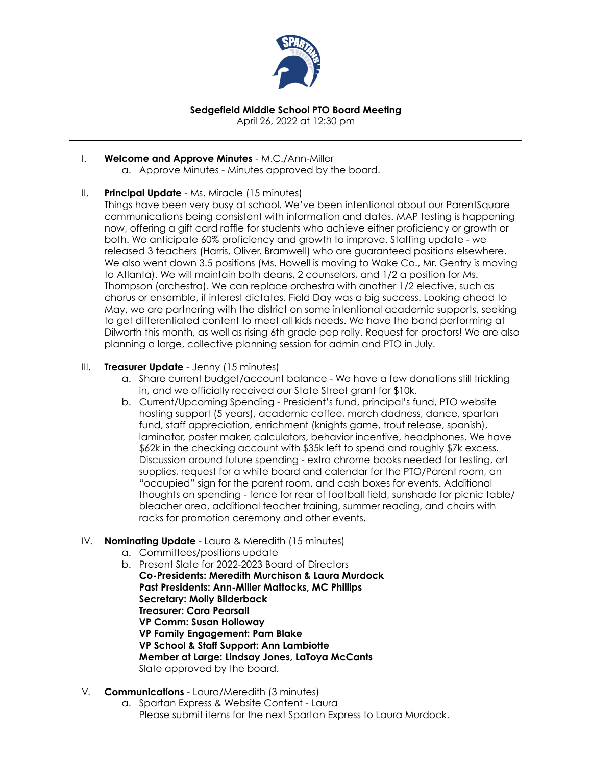

# **Sedgefield Middle School PTO Board Meeting**

April 26, 2022 at 12:30 pm

#### I. **Welcome and Approve Minutes** - M.C./Ann-Miller

a. Approve Minutes - Minutes approved by the board.

### II. **Principal Update** - Ms. Miracle (15 minutes)

Things have been very busy at school. We've been intentional about our ParentSquare communications being consistent with information and dates. MAP testing is happening now, offering a gift card raffle for students who achieve either proficiency or growth or both. We anticipate 60% proficiency and growth to improve. Staffing update - we released 3 teachers (Harris, Oliver, Bramwell) who are guaranteed positions elsewhere. We also went down 3.5 positions (Ms. Howell is moving to Wake Co., Mr. Gentry is moving to Atlanta). We will maintain both deans, 2 counselors, and 1/2 a position for Ms. Thompson (orchestra). We can replace orchestra with another 1/2 elective, such as chorus or ensemble, if interest dictates. Field Day was a big success. Looking ahead to May, we are partnering with the district on some intentional academic supports, seeking to get differentiated content to meet all kids needs. We have the band performing at Dilworth this month, as well as rising 6th grade pep rally. Request for proctors! We are also planning a large, collective planning session for admin and PTO in July.

#### III. **Treasurer Update** - Jenny (15 minutes)

- a. Share current budget/account balance We have a few donations still trickling in, and we officially received our State Street grant for \$10k.
- b. Current/Upcoming Spending President's fund, principal's fund, PTO website hosting support (5 years), academic coffee, march dadness, dance, spartan fund, staff appreciation, enrichment (knights game, trout release, spanish), laminator, poster maker, calculators, behavior incentive, headphones. We have \$62k in the checking account with \$35k left to spend and roughly \$7k excess. Discussion around future spending - extra chrome books needed for testing, art supplies, request for a white board and calendar for the PTO/Parent room, an "occupied" sign for the parent room, and cash boxes for events. Additional thoughts on spending - fence for rear of football field, sunshade for picnic table/ bleacher area, additional teacher training, summer reading, and chairs with racks for promotion ceremony and other events.

### IV. **Nominating Update** - Laura & Meredith (15 minutes)

- a. Committees/positions update
- b. Present Slate for 2022-2023 Board of Directors **Co-Presidents: Meredith Murchison & Laura Murdock Past Presidents: Ann-Miller Mattocks, MC Phillips Secretary: Molly Bilderback Treasurer: Cara Pearsall VP Comm: Susan Holloway VP Family Engagement: Pam Blake VP School & Staff Support: Ann Lambiotte Member at Large: Lindsay Jones, LaToya McCants** Slate approved by the board.

### V. **Communications** - Laura/Meredith (3 minutes)

a. Spartan Express & Website Content - Laura Please submit items for the next Spartan Express to Laura Murdock.